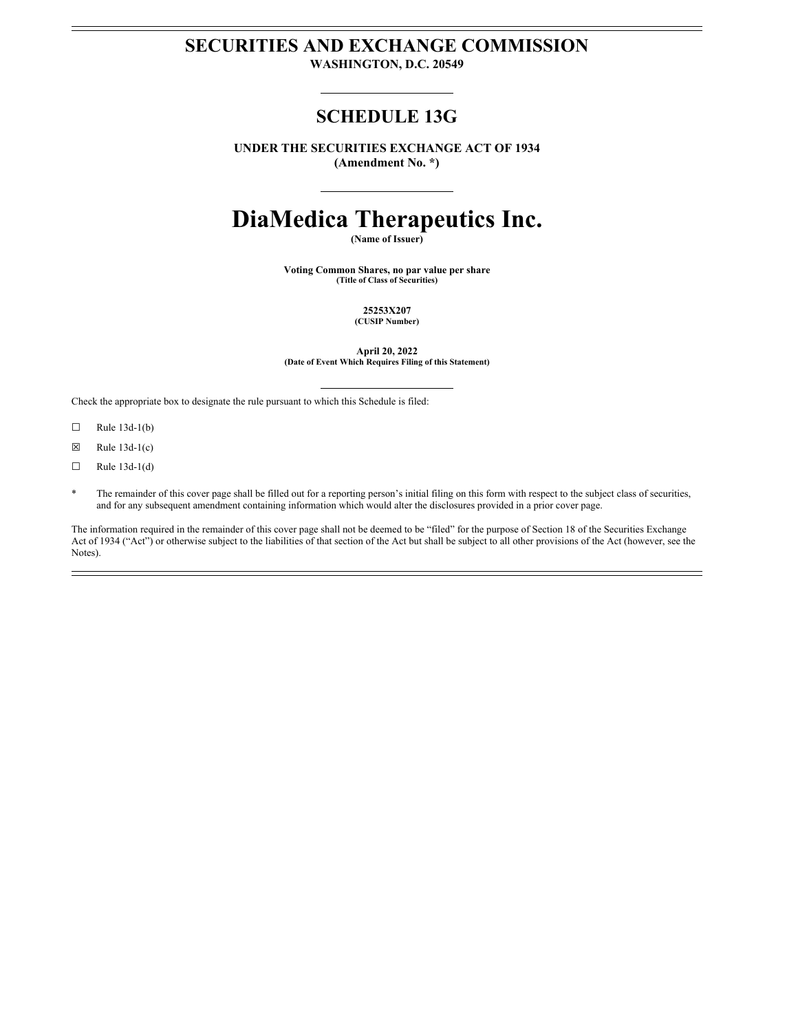# **SECURITIES AND EXCHANGE COMMISSION**

**WASHINGTON, D.C. 20549**

# **SCHEDULE 13G**

**UNDER THE SECURITIES EXCHANGE ACT OF 1934 (Amendment No. \*)**

# **DiaMedica Therapeutics Inc.**

**(Name of Issuer)**

**Voting Common Shares, no par value per share (Title of Class of Securities)**

> **25253X207 (CUSIP Number)**

**April 20, 2022 (Date of Event Which Requires Filing of this Statement)**

Check the appropriate box to designate the rule pursuant to which this Schedule is filed:

- $\Box$  Rule 13d-1(b)
- $\boxtimes$  Rule 13d-1(c)
- $\Box$  Rule 13d-1(d)
- The remainder of this cover page shall be filled out for a reporting person's initial filing on this form with respect to the subject class of securities, and for any subsequent amendment containing information which would alter the disclosures provided in a prior cover page.

The information required in the remainder of this cover page shall not be deemed to be "filed" for the purpose of Section 18 of the Securities Exchange Act of 1934 ("Act") or otherwise subject to the liabilities of that section of the Act but shall be subject to all other provisions of the Act (however, see the Notes).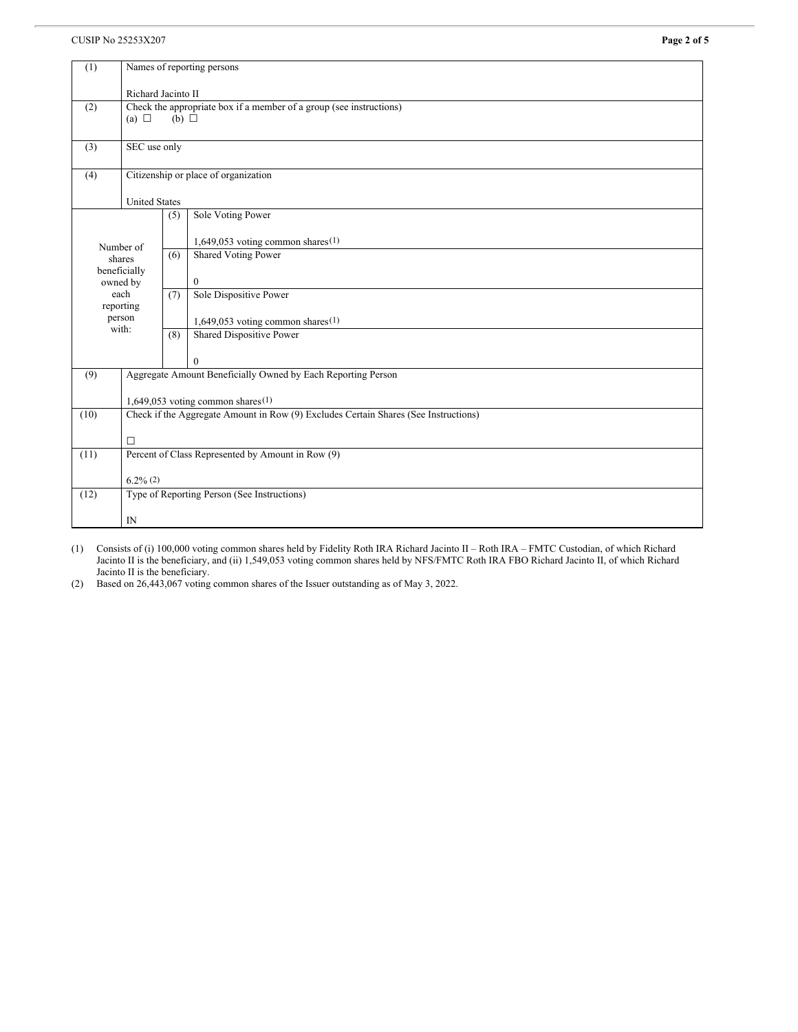# **CUSIP No 25253X207 Page 2 of 5**

| (1)                      | Names of reporting persons                                                                           |     |                                      |  |
|--------------------------|------------------------------------------------------------------------------------------------------|-----|--------------------------------------|--|
|                          | Richard Jacinto II                                                                                   |     |                                      |  |
| (2)                      | Check the appropriate box if a member of a group (see instructions)<br>(a) $\Box$<br>$(b)$ $\square$ |     |                                      |  |
|                          |                                                                                                      |     |                                      |  |
| (3)                      | SEC use only                                                                                         |     |                                      |  |
| (4)                      | Citizenship or place of organization                                                                 |     |                                      |  |
|                          | <b>United States</b>                                                                                 |     |                                      |  |
|                          |                                                                                                      | (5) | Sole Voting Power                    |  |
| Number of<br>shares      |                                                                                                      |     | 1,649,053 voting common shares $(1)$ |  |
|                          |                                                                                                      | (6) | <b>Shared Voting Power</b>           |  |
| beneficially<br>owned by |                                                                                                      |     | $\mathbf{0}$                         |  |
| each<br>reporting        |                                                                                                      | (7) | Sole Dispositive Power               |  |
| person<br>with:          |                                                                                                      |     | 1,649,053 voting common shares $(1)$ |  |
|                          |                                                                                                      | (8) | Shared Dispositive Power             |  |
|                          |                                                                                                      |     | $\theta$                             |  |
| (9)                      | Aggregate Amount Beneficially Owned by Each Reporting Person                                         |     |                                      |  |
|                          | 1,649,053 voting common shares $(1)$                                                                 |     |                                      |  |
| (10)                     | Check if the Aggregate Amount in Row (9) Excludes Certain Shares (See Instructions)                  |     |                                      |  |
|                          | $\Box$                                                                                               |     |                                      |  |
| (11)                     | Percent of Class Represented by Amount in Row (9)                                                    |     |                                      |  |
|                          | $6.2\%$ (2)                                                                                          |     |                                      |  |
| (12)                     | Type of Reporting Person (See Instructions)                                                          |     |                                      |  |
| IN                       |                                                                                                      |     |                                      |  |

(1) Consists of (i) 100,000 voting common shares held by Fidelity Roth IRA Richard Jacinto II – Roth IRA – FMTC Custodian, of which Richard Jacinto II is the beneficiary, and (ii) 1,549,053 voting common shares held by NFS/FMTC Roth IRA FBO Richard Jacinto II, of which Richard Jacinto II is the beneficiary.

(2) Based on 26,443,067 voting common shares of the Issuer outstanding as of May 3, 2022.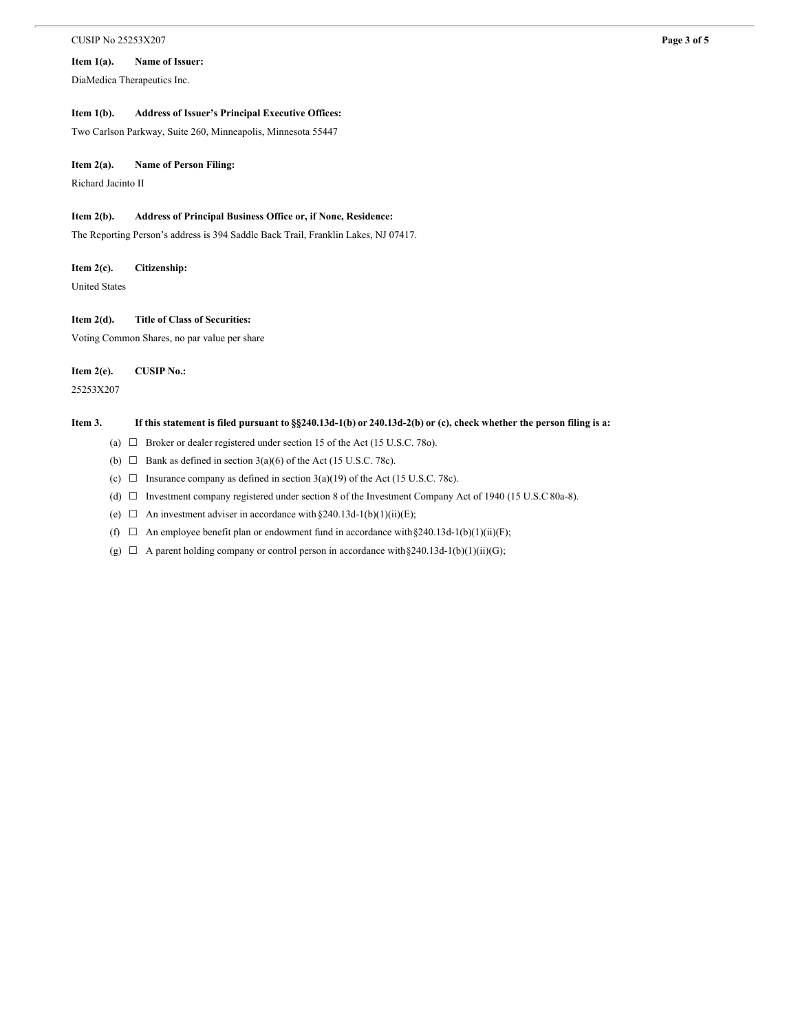#### **CUSIP No 25253X207 Page 3 of 5**

### **Item 1(a). Name of Issuer:**

DiaMedica Therapeutics Inc.

### **Item 1(b). Address of Issuer's Principal Executive Offices:**

Two Carlson Parkway, Suite 260, Minneapolis, Minnesota 55447

#### **Item 2(a). Name of Person Filing:**

Richard Jacinto II

#### **Item 2(b). Address of Principal Business Office or, if None, Residence:**

The Reporting Person's address is 394 Saddle Back Trail, Franklin Lakes, NJ 07417.

#### **Item 2(c). Citizenship:**

United States

#### **Item 2(d). Title of Class of Securities:**

Voting Common Shares, no par value per share

**Item 2(e). CUSIP No.:**

25253X207

#### Item 3. If this statement is filed pursuant to §§240.13d-1(b) or 240.13d-2(b) or (c), check whether the person filing is a:

- (a)  $\Box$  Broker or dealer registered under section 15 of the Act (15 U.S.C. 78o).
- (b)  $\Box$  Bank as defined in section 3(a)(6) of the Act (15 U.S.C. 78c).
- (c)  $\Box$  Insurance company as defined in section 3(a)(19) of the Act (15 U.S.C. 78c).
- (d) ☐ Investment company registered under section 8 of the Investment Company Act of 1940 (15 U.S.C 80a-8).
- (e)  $\Box$  An investment adviser in accordance with §240.13d-1(b)(1)(ii)(E);
- (f)  $\Box$  An employee benefit plan or endowment fund in accordance with §240.13d-1(b)(1)(ii)(F);
- (g)  $\Box$  A parent holding company or control person in accordance with §240.13d-1(b)(1)(ii)(G);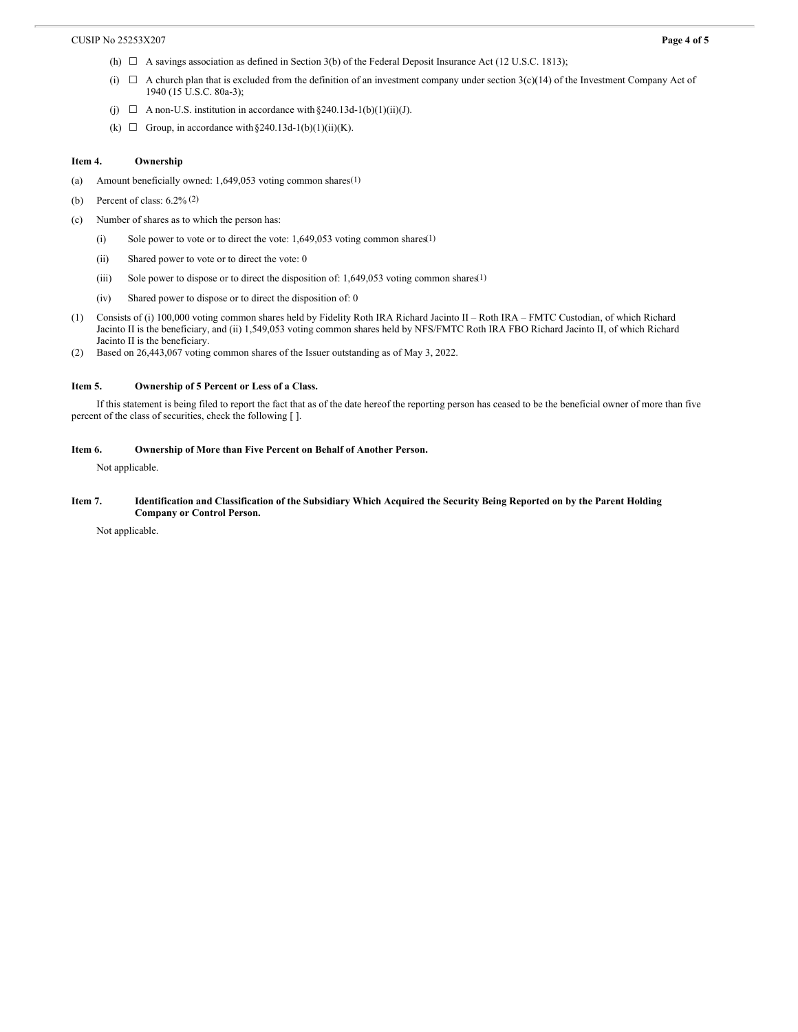- (h) ☐ A savings association as defined in Section 3(b) of the Federal Deposit Insurance Act (12 U.S.C. 1813);
- (i)  $\Box$  A church plan that is excluded from the definition of an investment company under section 3(c)(14) of the Investment Company Act of 1940 (15 U.S.C. 80a-3);
- (j)  $\Box$  A non-U.S. institution in accordance with §240.13d-1(b)(1)(ii)(J).
- (k)  $\Box$  Group, in accordance with §240.13d-1(b)(1)(ii)(K).

#### **Item 4. Ownership**

- (a) Amount beneficially owned: 1,649,053 voting common shares(1)
- (b) Percent of class:  $6.2\%$  (2)
- (c) Number of shares as to which the person has:
	- (i) Sole power to vote or to direct the vote:  $1,649,053$  voting common shares(1)
	- (ii) Shared power to vote or to direct the vote: 0
	- (iii) Sole power to dispose or to direct the disposition of: 1,649,053 voting common shares(1)
	- (iv) Shared power to dispose or to direct the disposition of: 0
- (1) Consists of (i) 100,000 voting common shares held by Fidelity Roth IRA Richard Jacinto II Roth IRA FMTC Custodian, of which Richard Jacinto II is the beneficiary, and (ii) 1,549,053 voting common shares held by NFS/FMTC Roth IRA FBO Richard Jacinto II, of which Richard Jacinto II is the beneficiary.
- (2) Based on 26,443,067 voting common shares of the Issuer outstanding as of May 3, 2022.

#### **Item 5. Ownership of 5 Percent or Less of a Class.**

If this statement is being filed to report the fact that as of the date hereof the reporting person has ceased to be the beneficial owner of more than five percent of the class of securities, check the following [ ].

#### **Item 6. Ownership of More than Five Percent on Behalf of Another Person.**

Not applicable.

#### Item 7. Identification and Classification of the Subsidiary Which Acquired the Security Being Reported on by the Parent Holding **Company or Control Person.**

Not applicable.